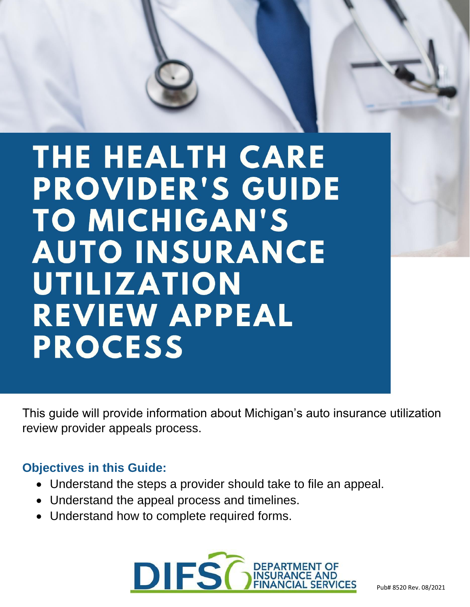# THE HEALTH CARE **PROVIDER'S GUIDE** TO MICHIGAN'S **AUTO INSURANCE** UTILIZATION **REVIEW APPEAL PROCESS**

This guide will provide information about Michigan's auto insurance utilization review provider appeals process.

### **Objectives in this Guide:**

- Understand the steps a provider should take to file an appeal.
- Understand the appeal process and timelines.
- Understand how to complete required forms.

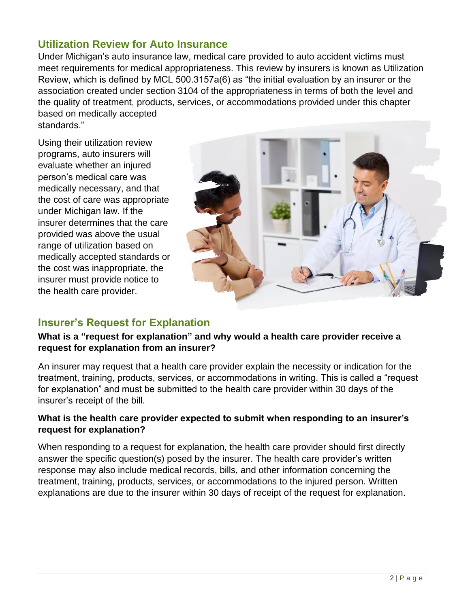### **Utilization Review for Auto Insurance**

Under Michigan's auto insurance law, medical care provided to auto accident victims must meet requirements for medical appropriateness. This review by insurers is known as Utilization Review, which is defined by MCL 500.3157a(6) as "the initial evaluation by an insurer or the association created under section 3104 of the appropriateness in terms of both the level and the quality of treatment, products, services, or accommodations provided under this chapter based on medically accepted

standards."

Using their utilization review programs, auto insurers will evaluate whether an injured person's medical care was medically necessary, and that the cost of care was appropriate under Michigan law. If the insurer determines that the care provided was above the usual range of utilization based on medically accepted standards or the cost was inappropriate, the insurer must provide notice to the health care provider.



### **Insurer's Request for Explanation**

### **What is a "request for explanation" and why would a health care provider receive a request for explanation from an insurer?**

An insurer may request that a health care provider explain the necessity or indication for the treatment, training, products, services, or accommodations in writing. This is called a "request for explanation" and must be submitted to the health care provider within 30 days of the insurer's receipt of the bill.

#### **What is the health care provider expected to submit when responding to an insurer's request for explanation?**

When responding to a request for explanation, the health care provider should first directly answer the specific question(s) posed by the insurer. The health care provider's written response may also include medical records, bills, and other information concerning the treatment, training, products, services, or accommodations to the injured person. Written explanations are due to the insurer within 30 days of receipt of the request for explanation.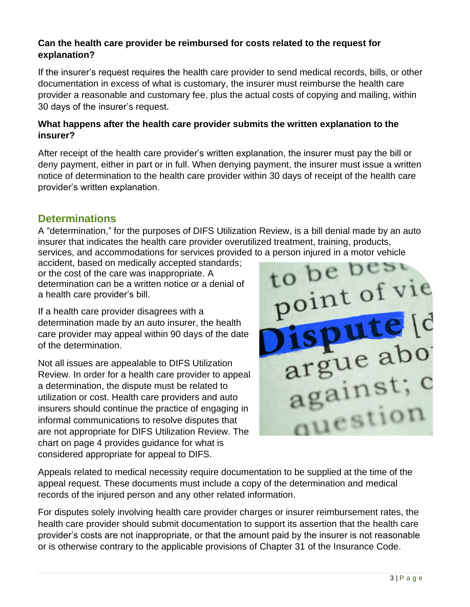### **Can the health care provider be reimbursed for costs related to the request for explanation?**

If the insurer's request requires the health care provider to send medical records, bills, or other documentation in excess of what is customary, the insurer must reimburse the health care provider a reasonable and customary fee, plus the actual costs of copying and mailing, within 30 days of the insurer's request.

### **What happens after the health care provider submits the written explanation to the insurer?**

After receipt of the health care provider's written explanation, the insurer must pay the bill or deny payment, either in part or in full. When denying payment, the insurer must issue a written notice of determination to the health care provider within 30 days of receipt of the health care provider's written explanation.

### **Determinations**

A "determination," for the purposes of DIFS Utilization Review, is a bill denial made by an auto insurer that indicates the health care provider overutilized treatment, training, products,

services, and accommodations for services provided to a person injured in a motor vehicle<br>accident, based on medically accepted standards;<br>or the cost of the care was inappropriate. A<br>determination can be a written set: accident, based on medically accepted standards; or the cost of the care was inappropriate. A determination can be a written notice or a denial of a health care provider's bill.

If a health care provider disagrees with a determination made by an auto insurer, the health care provider may appeal within 90 days of the date of the determination.

Not all issues are appealable to DIFS Utilization Review. In order for a health care provider to appeal a determination, the dispute must be related to utilization or cost. Health care providers and auto insurers should continue the practice of engaging in informal communications to resolve disputes that are not appropriate for DIFS Utilization Review. The chart on page 4 provides guidance for what is considered appropriate for appeal to DIFS.



Appeals related to medical necessity require documentation to be supplied at the time of the appeal request. These documents must include a copy of the determination and medical records of the injured person and any other related information.

For disputes solely involving health care provider charges or insurer reimbursement rates, the health care provider should submit documentation to support its assertion that the health care provider's costs are not inappropriate, or that the amount paid by the insurer is not reasonable or is otherwise contrary to the applicable provisions of Chapter 31 of the Insurance Code.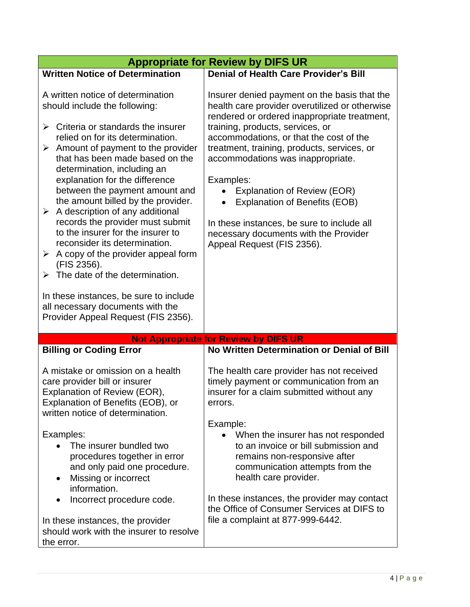|                                                                                                                                                                                                                                                                                                                                                                                                                                                                                                                                                                                                                                                                                                                                                                                    | <b>Appropriate for Review by DIFS UR</b>                                                                                                                                                                                                                                                                                                                                                                                                                                                                                   |
|------------------------------------------------------------------------------------------------------------------------------------------------------------------------------------------------------------------------------------------------------------------------------------------------------------------------------------------------------------------------------------------------------------------------------------------------------------------------------------------------------------------------------------------------------------------------------------------------------------------------------------------------------------------------------------------------------------------------------------------------------------------------------------|----------------------------------------------------------------------------------------------------------------------------------------------------------------------------------------------------------------------------------------------------------------------------------------------------------------------------------------------------------------------------------------------------------------------------------------------------------------------------------------------------------------------------|
| <b>Written Notice of Determination</b>                                                                                                                                                                                                                                                                                                                                                                                                                                                                                                                                                                                                                                                                                                                                             | <b>Denial of Health Care Provider's Bill</b>                                                                                                                                                                                                                                                                                                                                                                                                                                                                               |
| A written notice of determination<br>should include the following:<br>$\triangleright$ Criteria or standards the insurer<br>relied on for its determination.<br>$\triangleright$ Amount of payment to the provider<br>that has been made based on the<br>determination, including an<br>explanation for the difference<br>between the payment amount and<br>the amount billed by the provider.<br>$\triangleright$ A description of any additional<br>records the provider must submit<br>to the insurer for the insurer to<br>reconsider its determination.<br>A copy of the provider appeal form<br>➤<br>(FIS 2356).<br>The date of the determination.<br>➤<br>In these instances, be sure to include<br>all necessary documents with the<br>Provider Appeal Request (FIS 2356). | Insurer denied payment on the basis that the<br>health care provider overutilized or otherwise<br>rendered or ordered inappropriate treatment,<br>training, products, services, or<br>accommodations, or that the cost of the<br>treatment, training, products, services, or<br>accommodations was inappropriate.<br>Examples:<br>Explanation of Review (EOR)<br><b>Explanation of Benefits (EOB)</b><br>In these instances, be sure to include all<br>necessary documents with the Provider<br>Appeal Request (FIS 2356). |
|                                                                                                                                                                                                                                                                                                                                                                                                                                                                                                                                                                                                                                                                                                                                                                                    | <b>Not Appropriate for Review by DIFS UR</b>                                                                                                                                                                                                                                                                                                                                                                                                                                                                               |
| <b>Billing or Coding Error</b>                                                                                                                                                                                                                                                                                                                                                                                                                                                                                                                                                                                                                                                                                                                                                     | No Written Determination or Denial of Bill                                                                                                                                                                                                                                                                                                                                                                                                                                                                                 |
| A mistake or omission on a health<br>care provider bill or insurer<br>Explanation of Review (EOR),<br>Explanation of Benefits (EOB), or<br>written notice of determination.                                                                                                                                                                                                                                                                                                                                                                                                                                                                                                                                                                                                        | The health care provider has not received<br>timely payment or communication from an<br>insurer for a claim submitted without any<br>errors.                                                                                                                                                                                                                                                                                                                                                                               |
| Examples:<br>The insurer bundled two<br>procedures together in error<br>and only paid one procedure.<br>Missing or incorrect<br>$\bullet$<br>information.<br>Incorrect procedure code.<br>$\bullet$                                                                                                                                                                                                                                                                                                                                                                                                                                                                                                                                                                                | Example:<br>When the insurer has not responded<br>$\bullet$<br>to an invoice or bill submission and<br>remains non-responsive after<br>communication attempts from the<br>health care provider.<br>In these instances, the provider may contact<br>the Office of Consumer Services at DIFS to                                                                                                                                                                                                                              |
| In these instances, the provider<br>should work with the insurer to resolve<br>the error.                                                                                                                                                                                                                                                                                                                                                                                                                                                                                                                                                                                                                                                                                          | file a complaint at 877-999-6442.                                                                                                                                                                                                                                                                                                                                                                                                                                                                                          |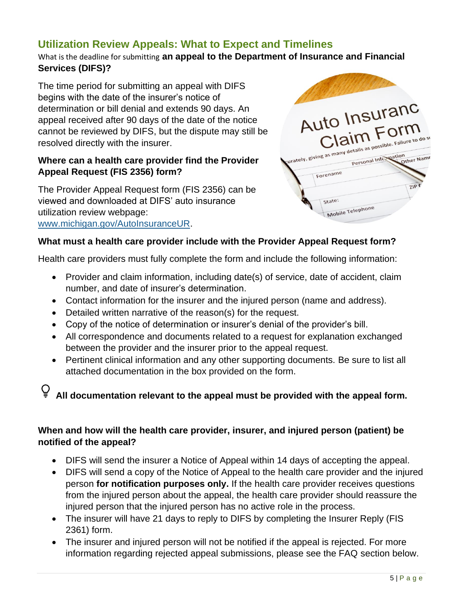### **Utilization Review Appeals: What to Expect and Timelines**

What is the deadline for submitting **an appeal to the Department of Insurance and Financial Services (DIFS)?**

The time period for submitting an appeal with DIFS begins with the date of the insurer's notice of determination or bill denial and extends 90 days. An appeal received after 90 days of the date of the notice cannot be reviewed by DIFS, but the dispute may still be resolved directly with the insurer.

### **Where can a health care provider find the Provider Appeal Request (FIS 2356) form?**

The Provider Appeal Request form (FIS 2356) can be viewed and downloaded at DIFS' auto insurance utilization review webpage: [www.michigan.gov/AutoInsuranceUR.](https://www.michigan.gov/AutoInsuranceUR)



#### **What must a health care provider include with the Provider Appeal Request form?**

Health care providers must fully complete the form and include the following information:

- Provider and claim information, including date(s) of service, date of accident, claim number, and date of insurer's determination.
- Contact information for the insurer and the injured person (name and address).
- Detailed written narrative of the reason(s) for the request.
- Copy of the notice of determination or insurer's denial of the provider's bill.
- All correspondence and documents related to a request for explanation exchanged between the provider and the insurer prior to the appeal request.
- Pertinent clinical information and any other supporting documents. Be sure to list all attached documentation in the box provided on the form.

# **All documentation relevant to the appeal must be provided with the appeal form.**

### **When and how will the health care provider, insurer, and injured person (patient) be notified of the appeal?**

- DIFS will send the insurer a Notice of Appeal within 14 days of accepting the appeal.
- DIFS will send a copy of the Notice of Appeal to the health care provider and the injured person **for notification purposes only.** If the health care provider receives questions from the injured person about the appeal, the health care provider should reassure the injured person that the injured person has no active role in the process.
- The insurer will have 21 days to reply to DIFS by completing the Insurer Reply (FIS 2361) form.
- The insurer and injured person will not be notified if the appeal is rejected. For more information regarding rejected appeal submissions, please see the FAQ section below.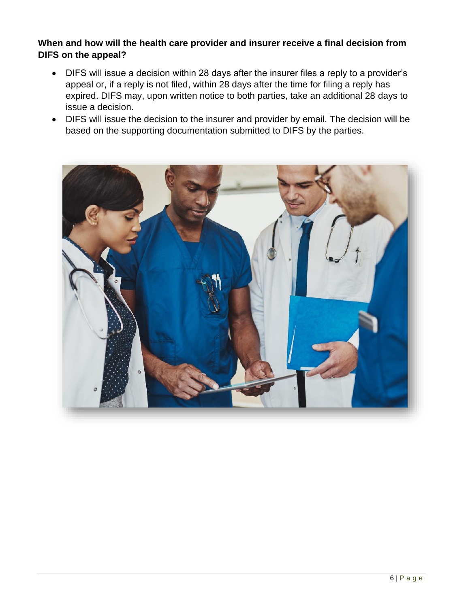### **When and how will the health care provider and insurer receive a final decision from DIFS on the appeal?**

- DIFS will issue a decision within 28 days after the insurer files a reply to a provider's appeal or, if a reply is not filed, within 28 days after the time for filing a reply has expired. DIFS may, upon written notice to both parties, take an additional 28 days to issue a decision.
- DIFS will issue the decision to the insurer and provider by email. The decision will be based on the supporting documentation submitted to DIFS by the parties.

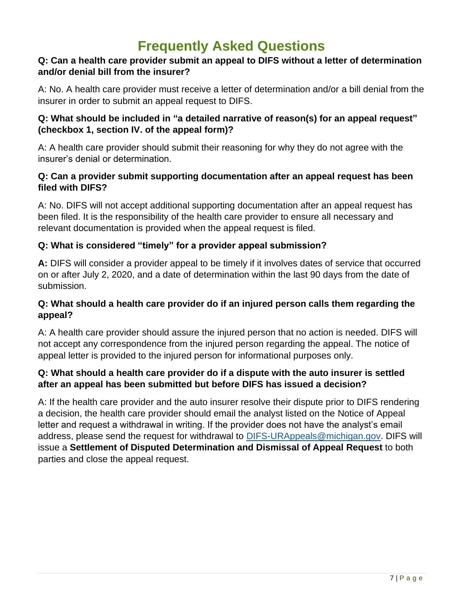### **Frequently Asked Questions**

### **Q: Can a health care provider submit an appeal to DIFS without a letter of determination and/or denial bill from the insurer?**

A: No. A health care provider must receive a letter of determination and/or a bill denial from the insurer in order to submit an appeal request to DIFS.

### **Q: What should be included in "a detailed narrative of reason(s) for an appeal request" (checkbox 1, section IV. of the appeal form)?**

A: A health care provider should submit their reasoning for why they do not agree with the insurer's denial or determination.

### **Q: Can a provider submit supporting documentation after an appeal request has been filed with DIFS?**

A: No. DIFS will not accept additional supporting documentation after an appeal request has been filed. It is the responsibility of the health care provider to ensure all necessary and relevant documentation is provided when the appeal request is filed.

### **Q: What is considered "timely" for a provider appeal submission?**

**A:** DIFS will consider a provider appeal to be timely if it involves dates of service that occurred on or after July 2, 2020, and a date of determination within the last 90 days from the date of submission.

### **Q: What should a health care provider do if an injured person calls them regarding the appeal?**

A: A health care provider should assure the injured person that no action is needed. DIFS will not accept any correspondence from the injured person regarding the appeal. The notice of appeal letter is provided to the injured person for informational purposes only.

### **Q: What should a health care provider do if a dispute with the auto insurer is settled after an appeal has been submitted but before DIFS has issued a decision?**

A: If the health care provider and the auto insurer resolve their dispute prior to DIFS rendering a decision, the health care provider should email the analyst listed on the Notice of Appeal letter and request a withdrawal in writing. If the provider does not have the analyst's email address, please send the request for withdrawal to [DIFS-URAppeals@michigan.gov.](mailto:DIFS-URAppeals@michigan.gov) DIFS will issue a **Settlement of Disputed Determination and Dismissal of Appeal Request** to both parties and close the appeal request.